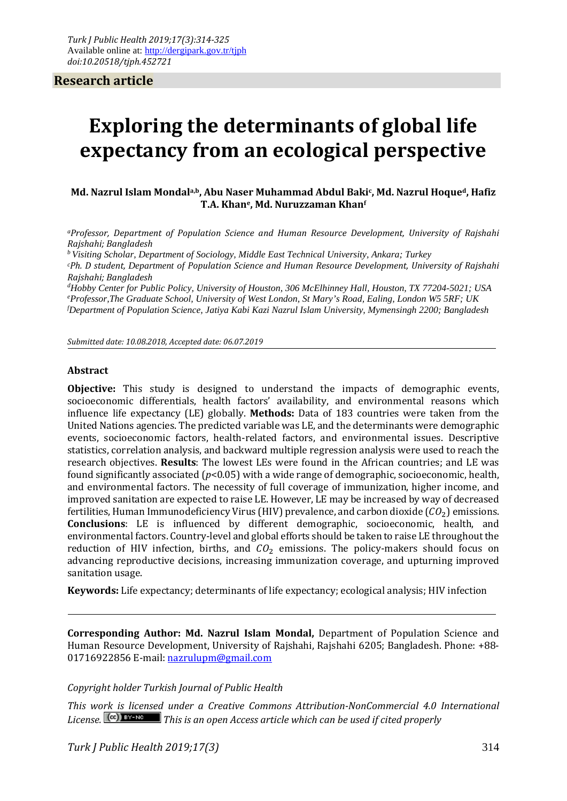**Research article**

# **Exploring the determinants of global life expectancy from an ecological perspective**

**Md. Nazrul Islam Mondala,b, Abu Naser Muhammad Abdul Bakic, Md. Nazrul Hoqued, Hafiz T.A. Khane, Md. Nuruzzaman Khanf**

*aProfessor, Department of Population Science and Human Resource Development, University of Rajshahi Rajshahi; Bangladesh*

*b Visiting Scholar, Department of Sociology, Middle East Technical University, Ankara; Turkey*

*cPh. D student, Department of Population Science and Human Resource Development, University of Rajshahi Rajshahi; Bangladesh*

*d Hobby Center for Public Policy, University of Houston, 306 McElhinney Hall, Houston, TX 77204-5021; USA e Professor,The Graduate School, University of West London, St Mary's Road, Ealing, London W5 5RF; UK f Department of Population Science, Jatiya Kabi Kazi Nazrul Islam University, Mymensingh 2200; Bangladesh*

*Submitted date: 10.08.2018, Accepted date: 06.07.2019*

#### **Abstract**

**Objective:** This study is designed to understand the impacts of demographic events, socioeconomic differentials, health factors' availability, and environmental reasons which influence life expectancy (LE) globally. **Methods:** Data of 183 countries were taken from the United Nations agencies. The predicted variable was LE, and the determinants were demographic events, socioeconomic factors, health-related factors, and environmental issues. Descriptive statistics, correlation analysis, and backward multiple regression analysis were used to reach the research objectives. **Results**: The lowest LEs were found in the African countries; and LE was found significantly associated (*p*<0.05) with a wide range of demographic, socioeconomic, health, and environmental factors. The necessity of full coverage of immunization, higher income, and improved sanitation are expected to raise LE. However, LE may be increased by way of decreased fertilities, Human Immunodeficiency Virus (HIV) prevalence, and carbon dioxide  $(CO<sub>2</sub>)$  emissions. **Conclusions**: LE is influenced by different demographic, socioeconomic, health, and environmental factors. Country-level and global efforts should be taken to raise LE throughout the reduction of HIV infection, births, and  $CO<sub>2</sub>$  emissions. The policy-makers should focus on advancing reproductive decisions, increasing immunization coverage, and upturning improved sanitation usage.

**Keywords:** Life expectancy; determinants of life expectancy; ecological analysis; HIV infection

**Corresponding Author: Md. Nazrul Islam Mondal,** Department of Population Science and Human Resource Development, University of Rajshahi, Rajshahi 6205; Bangladesh. Phone: +88 01716922856 E-mail: [nazrulupm@gmail.com](mailto:nazrulupm@gmail.com)

#### *Copyright holder Turkish Journal of Public Health*

*This work is licensed under a Creative Commons Attribution-NonCommercial 4.0 International*  License.  $\boxed{[cc]}$  **EY-NG** This is an open Access article which can be used if cited properly

*Turk J Public Health 2019;17(3)* 314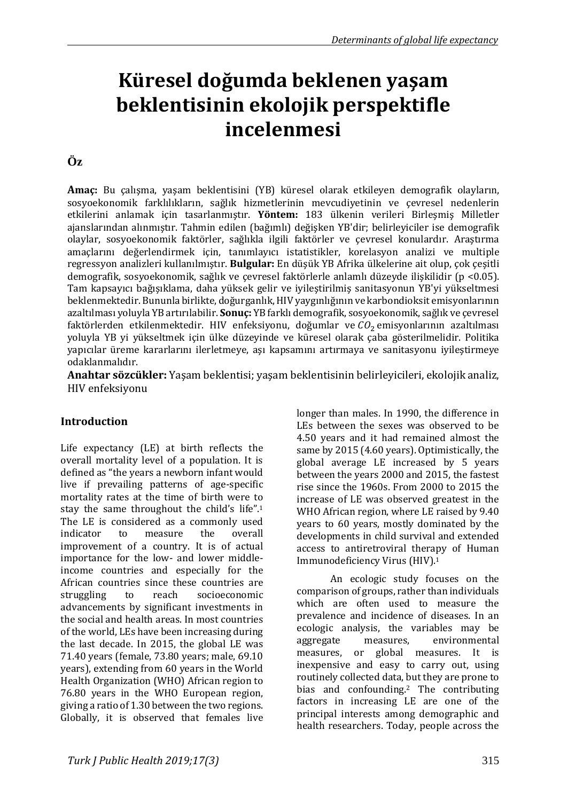# **Küresel doğumda beklenen yaşam beklentisinin ekolojik perspektifle incelenmesi**

# **Öz**

**Amaç:** Bu çalışma, yaşam beklentisini (YB) küresel olarak etkileyen demografik olayların, sosyoekonomik farklılıkların, sağlık hizmetlerinin mevcudiyetinin ve çevresel nedenlerin etkilerini anlamak için tasarlanmıştır. **Yöntem:** 183 ülkenin verileri Birleşmiş Milletler ajanslarından alınmıştır. Tahmin edilen (bağımlı) değişken YB'dir; belirleyiciler ise demografik olaylar, sosyoekonomik faktörler, sağlıkla ilgili faktörler ve çevresel konulardır. Araştırma amaçlarını değerlendirmek için, tanımlayıcı istatistikler, korelasyon analizi ve multiple regressyon analizleri kullanılmıştır. **Bulgular:** En düşük YB Afrika ülkelerine ait olup, çok çeşitli demografik, sosyoekonomik, sağlık ve çevresel faktörlerle anlamlı düzeyde ilişkilidir (p <0.05). Tam kapsayıcı bağışıklama, daha yüksek gelir ve iyileştirilmiş sanitasyonun YB'yi yükseltmesi beklenmektedir. Bununla birlikte, doğurganlık, HIV yaygınlığının ve karbondioksit emisyonlarının azaltılması yoluyla YB artırılabilir. **Sonuç:** YB farklı demografik, sosyoekonomik, sağlık ve çevresel faktörlerden etkilenmektedir. HIV enfeksiyonu, doğumlar ve  $CO<sub>2</sub>$ emisyonlarının azaltılması yoluyla YB yi yükseltmek için ülke düzeyinde ve küresel olarak çaba gösterilmelidir. Politika yapıcılar üreme kararlarını ilerletmeye, aşı kapsamını artırmaya ve sanitasyonu iyileştirmeye odaklanmalıdır.

**Anahtar sözcükler:** Yaşam beklentisi; yaşam beklentisinin belirleyicileri, ekolojik analiz, HIV enfeksiyonu

#### **Introduction**

Life expectancy (LE) at birth reflects the overall mortality level of a population. It is defined as "the years a newborn infant would live if prevailing patterns of age-specific mortality rates at the time of birth were to stay the same throughout the child's life".1 The LE is considered as a commonly used<br>indicator to measure the overall indicator to measure the overall improvement of a country. It is of actual importance for the low- and lower middleincome countries and especially for the African countries since these countries are<br>struggling to reach socioeconomic socioeconomic advancements by significant investments in the social and health areas. In most countries of the world, LEs have been increasing during the last decade. In 2015, the global LE was 71.40 years (female, 73.80 years; male, 69.10 years), extending from 60 years in the World Health Organization (WHO) African region to 76.80 years in the WHO European region, giving a ratio of 1.30 between the two regions. Globally, it is observed that females live

longer than males. In 1990, the difference in LEs between the sexes was observed to be 4.50 years and it had remained almost the same by 2015 (4.60 years). Optimistically, the global average LE increased by 5 years between the years 2000 and 2015, the fastest rise since the 1960s. From 2000 to 2015 the increase of LE was observed greatest in the WHO African region, where LE raised by 9.40 years to 60 years, mostly dominated by the developments in child survival and extended access to antiretroviral therapy of Human Immunodeficiency Virus (HIV).1

An ecologic study focuses on the comparison of groups, rather than individuals which are often used to measure the prevalence and incidence of diseases. In an ecologic analysis, the variables may be aggregate measures, environmental aggregate measures, environmental<br>measures, or global measures. It is global measures. It inexpensive and easy to carry out, using routinely collected data, but they are prone to bias and confounding.2 The contributing factors in increasing LE are one of the principal interests among demographic and health researchers. Today, people across the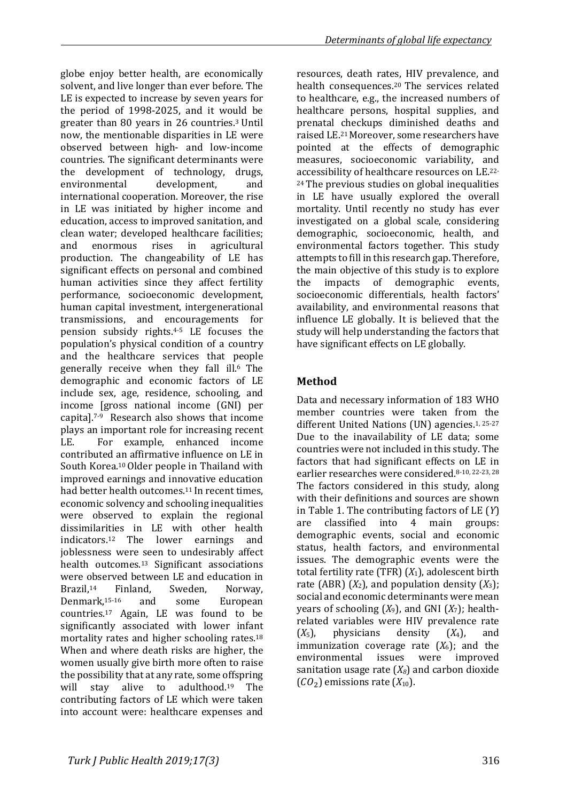contributing factors of LE which were taken into account were: healthcare expenses and

globe enjoy better health, are economically solvent, and live longer than ever before. The LE is expected to increase by seven years for the period of 1998-2025, and it would be greater than 80 years in 26 countries.3 Until now, the mentionable disparities in LE were observed between high- and low-income countries. The significant determinants were the development of technology, drugs,<br>environmental development. and environmental development, and international cooperation. Moreover, the rise in LE was initiated by higher income and education, access to improved sanitation, and clean water; developed healthcare facilities;<br>and enormous rises in agricultural

enormous rises

production. The changeability of LE has significant effects on personal and combined human activities since they affect fertility performance, socioeconomic development, human capital investment, intergenerational transmissions, and encouragements for pension subsidy rights.4-5 LE focuses the population's physical condition of a country and the healthcare services that people generally receive when they fall ill.6 The demographic and economic factors of LE include sex, age, residence, schooling, and income [gross national income (GNI) per capita].7-9 Research also shows that income plays an important role for increasing recent<br>LE For example enhanced income

For example, enhanced income

adulthood. $19$  The

contributed an affirmative influence on LE in South Korea.10 Older people in Thailand with improved earnings and innovative education had better health outcomes.11 In recent times, economic solvency and schooling inequalities were observed to explain the regional dissimilarities in LE with other health<br>indicators.<sup>12</sup> The lower earnings and indicators.<sup>12</sup> The lower earnings joblessness were seen to undesirably affect health outcomes.<sup>13</sup> Significant associations were observed between LE and education in<br>Brazil.<sup>14</sup> Finland. Sweden. Norway. Brazil,<sup>14</sup> Finland, Sweden, Norway,<br>Denmark.<sup>15-16</sup> and some European Denmark,15-16 and some European countries.17 Again, LE was found to be significantly associated with lower infant mortality rates and higher schooling rates.18 When and where death risks are higher, the women usually give birth more often to raise the possibility that at any rate, some offspring<br>will stay alive to adulthood.<sup>19</sup> The *Determinants of global life expectancy*

resources, death rates, HIV prevalence, and health consequences.20 The services related to healthcare, e.g., the increased numbers of healthcare persons, hospital supplies, and prenatal checkups diminished deaths and raised LE.21 Moreover, some researchers have pointed at the effects of demographic measures, socioeconomic variability, and accessibility of healthcare resources on LE.22- 24 The previous studies on global inequalities in LE have usually explored the overall mortality. Until recently no study has ever investigated on a global scale, considering demographic, socioeconomic, health, and environmental factors together. This study attempts to fill in this research gap. Therefore, the main objective of this study is to explore<br>the impacts of demographic events. of demographic events, socioeconomic differentials, health factors' availability, and environmental reasons that influence LE globally. It is believed that the study will help understanding the factors that have significant effects on LE globally.

## **Method**

Data and necessary information of 183 WHO member countries were taken from the different United Nations (UN) agencies.1, 25-27 Due to the inavailability of LE data; some countries were not included in this study. The factors that had significant effects on LE in earlier researches were considered.8-10, 22-23, 28 The factors considered in this study, along with their definitions and sources are shown in Table 1. The contributing factors of LE (*Y*) are classified into 4 main groups: demographic events, social and economic status, health factors, and environmental issues. The demographic events were the total fertility rate (TFR) (*X*1), adolescent birth rate (ABR)  $(X_2)$ , and population density  $(X_3)$ ; social and economic determinants were mean years of schooling  $(X_9)$ , and GNI  $(X_7)$ ; healthrelated variables were HIV prevalence rate  $(X_5)$ , physicians density  $(X_4)$ , and *hvsicians* immunization coverage rate  $(X_6)$ ; and the environmental issues were improved environmental sanitation usage rate  $(X_8)$  and carbon dioxide  $(CO<sub>2</sub>)$  emissions rate  $(X<sub>10</sub>)$ .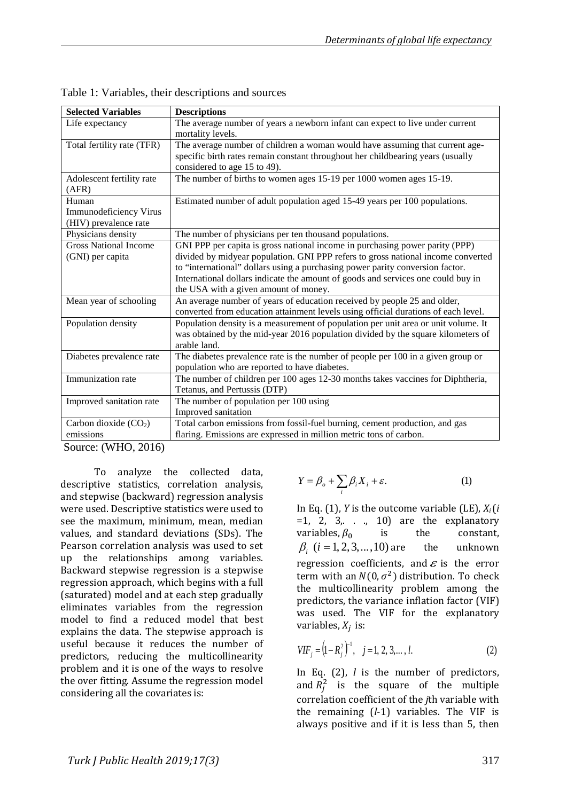| <b>Selected Variables</b>    | <b>Descriptions</b>                                                                |
|------------------------------|------------------------------------------------------------------------------------|
| Life expectancy              | The average number of years a newborn infant can expect to live under current      |
|                              | mortality levels.                                                                  |
| Total fertility rate (TFR)   | The average number of children a woman would have assuming that current age-       |
|                              | specific birth rates remain constant throughout her childbearing years (usually    |
|                              | considered to age 15 to 49).                                                       |
| Adolescent fertility rate    | The number of births to women ages 15-19 per 1000 women ages 15-19.                |
| (AFR)                        |                                                                                    |
| Human                        | Estimated number of adult population aged 15-49 years per 100 populations.         |
| Immunodeficiency Virus       |                                                                                    |
| (HIV) prevalence rate        |                                                                                    |
| Physicians density           | The number of physicians per ten thousand populations.                             |
| <b>Gross National Income</b> | GNI PPP per capita is gross national income in purchasing power parity (PPP)       |
| (GNI) per capita             | divided by midyear population. GNI PPP refers to gross national income converted   |
|                              | to "international" dollars using a purchasing power parity conversion factor.      |
|                              | International dollars indicate the amount of goods and services one could buy in   |
|                              | the USA with a given amount of money.                                              |
| Mean year of schooling       | An average number of years of education received by people 25 and older,           |
|                              | converted from education attainment levels using official durations of each level. |
| Population density           | Population density is a measurement of population per unit area or unit volume. It |
|                              | was obtained by the mid-year 2016 population divided by the square kilometers of   |
|                              | arable land.                                                                       |
| Diabetes prevalence rate     | The diabetes prevalence rate is the number of people per 100 in a given group or   |
|                              | population who are reported to have diabetes.                                      |
| Immunization rate            | The number of children per 100 ages 12-30 months takes vaccines for Diphtheria,    |
|                              | Tetanus, and Pertussis (DTP)                                                       |
| Improved sanitation rate     | The number of population per 100 using                                             |
|                              | Improved sanitation                                                                |
| Carbon dioxide $(CO2)$       | Total carbon emissions from fossil-fuel burning, cement production, and gas        |
| emissions                    | flaring. Emissions are expressed in million metric tons of carbon.                 |

Table 1: Variables, their descriptions and sources

Source: (WHO, 2016)

To analyze the collected data, descriptive statistics, correlation analysis, and stepwise (backward) regression analysis were used. Descriptive statistics were used to see the maximum, minimum, mean, median values, and standard deviations (SDs). The Pearson correlation analysis was used to set up the relationships among variables. Backward stepwise regression is a stepwise regression approach, which begins with a full (saturated) model and at each step gradually eliminates variables from the regression model to find a reduced model that best explains the data. The stepwise approach is useful because it reduces the number of predictors, reducing the multicollinearity problem and it is one of the ways to resolve the over fitting. Assume the regression model considering all the covariates is:

$$
Y = \beta_o + \sum_i \beta_i X_i + \varepsilon. \tag{1}
$$

In Eq. (1), *Y* is the outcome variable (LE), *Xi* (*i* =1, 2, 3, . ., 10) are the explanatory<br>variables.  $\beta_0$  is the constant. variables,  $\beta_0$  is the  $\beta_i$  (*i* = 1, 2, 3, ..., 10) are the  $\beta_i$  (*i* = 1, 2, 3, ..., 10) are the unknown regression coefficients, and  $\varepsilon$  is the error term with an  $N(0, \sigma^2)$  distribution. To check the multicollinearity problem among the predictors, the variance inflation factor (VIF) was used. The VIF for the explanatory variables,  $X_i$  is:

$$
VIF_j = (1 - R_j^2)^{-1}, \quad j = 1, 2, 3, \dots, l.
$$
 (2)

In Eq. (2), *l* is the number of predictors, and  $R_j^2$  is the square of the multiple correlation coefficient of the *j*th variable with the remaining (*l*-1) variables. The VIF is always positive and if it is less than 5, then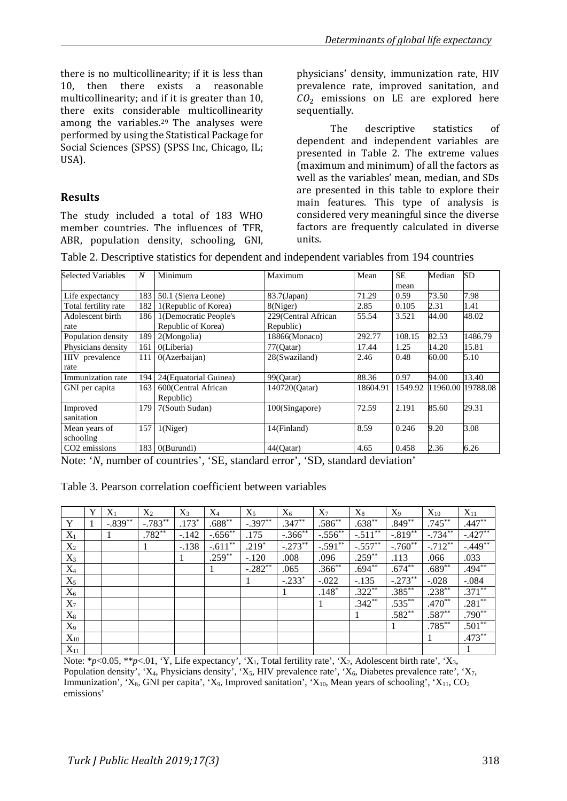there is no multicollinearity; if it is less than<br>10. then there exists a reasonable there exists a reasonable multicollinearity; and if it is greater than 10, there exits considerable multicollinearity among the variables.29 The analyses were performed by using the Statistical Package for Social Sciences (SPSS) (SPSS Inc, Chicago, IL; USA).

### **Results**

The study included a total of 183 WHO member countries. The influences of TFR, ABR, population density, schooling, GNI, physicians' density, immunization rate, HIV prevalence rate, improved sanitation, and  $CO<sub>2</sub>$  emissions on LE are explored here sequentially.

The descriptive statistics of dependent and independent variables are presented in Table 2. The extreme values (maximum and minimum) of all the factors as well as the variables' mean, median, and SDs are presented in this table to explore their main features. This type of analysis is considered very meaningful since the diverse factors are frequently calculated in diverse units.

| <b>Selected Variables</b> | $\boldsymbol{N}$ | Minimum               | Maximum             | Mean     | <b>SE</b> | Median | <b>SD</b>         |
|---------------------------|------------------|-----------------------|---------------------|----------|-----------|--------|-------------------|
|                           |                  |                       |                     |          | mean      |        |                   |
| Life expectancy           | 183              | 50.1 (Sierra Leone)   | 83.7(Japan)         | 71.29    | 0.59      | 73.50  | 7.98              |
| Total fertility rate      | 182              | 1(Republic of Korea)  | 8(Niger)            | 2.85     | 0.105     | 2.31   | 1.41              |
| Adolescent birth          | 186              | 1(Democratic People's | 229(Central African | 55.54    | 3.521     | 44.00  | 48.02             |
| rate                      |                  | Republic of Korea)    | Republic)           |          |           |        |                   |
| Population density        | 189              | 2(Mongolia)           | 18866(Monaco)       | 292.77   | 108.15    | 82.53  | 1486.79           |
| Physicians density        | 161              | O(Liberia)            | $77$ (Qatar)        | 17.44    | 1.25      | 14.20  | 15.81             |
| HIV prevalence            | 111              | 0(Azerbaijan)         | 28(Swaziland)       | 2.46     | 0.48      | 60.00  | 5.10              |
| rate                      |                  |                       |                     |          |           |        |                   |
| Immunization rate         | 194              | 24(Equatorial Guinea) | 99(Oatar)           | 88.36    | 0.97      | 94.00  | 13.40             |
| 163<br>GNI per capita     |                  | 600(Central African   | 140720(Qatar)       | 18604.91 | 1549.92   |        | 11960.00 19788.08 |
|                           |                  | Republic)             |                     |          |           |        |                   |
| Improved                  | 179              | 7(South Sudan)        | 100(Singapore)      | 72.59    | 2.191     | 85.60  | 29.31             |
| sanitation                |                  |                       |                     |          |           |        |                   |
| Mean years of             | 157              | 1(Niger)              | 14(Finland)         | 8.59     | 0.246     | 9.20   | 3.08              |
| schooling                 |                  |                       |                     |          |           |        |                   |
| CO <sub>2</sub> emissions | 183              | O(Burundi)            | 44(Oatar)           | 4.65     | 0.458     | 2.36   | 6.26              |

Note: '*N*, number of countries', 'SE, standard error', 'SD, standard deviation'

| Table 3. Pearson correlation coefficient between variables |  |  |  |  |
|------------------------------------------------------------|--|--|--|--|
|------------------------------------------------------------|--|--|--|--|

|          | Y | $X_1$      | $X_2$     | $X_3$   | $X_4$     | $X_5$     | $X_6$      | $X_7$        | $X_8$      | $X_9$      | $X_{10}$  | $X_{11}$  |
|----------|---|------------|-----------|---------|-----------|-----------|------------|--------------|------------|------------|-----------|-----------|
| Y        |   | $-.839***$ | $-.783**$ | $.173*$ | $.688**$  | $-.397**$ | $.347**$   | $.586^{**}$  | $.638**$   | $.849**$   | $.745***$ | $.447**$  |
| $X_1$    |   |            | $.782**$  | $-.142$ | $-.656**$ | .175      | $-.366$ ** | $-.556^{**}$ | $-.511***$ | $-.819***$ | $-.734**$ | $-.427**$ |
| $X_2$    |   |            |           | $-.138$ | $-.611**$ | $.219*$   | $-.273**$  | $-.591**$    | $-.557**$  | $-.760**$  | $-.712**$ | $-.449**$ |
| $X_3$    |   |            |           |         | $.259**$  | $-.120$   | .008       | .096         | $.259**$   | .113       | .066      | .033      |
| $X_4$    |   |            |           |         |           | $-.282**$ | .065       | $.366^{**}$  | $.694**$   | $.674**$   | $.689**$  | $.494**$  |
| $X_5$    |   |            |           |         |           |           | $-.233*$   | $-.022$      | $-.135$    | $-.273***$ | $-.028$   | $-.084$   |
| $X_6$    |   |            |           |         |           |           |            | $.148*$      | $.322**$   | $.385***$  | $.238***$ | $.371**$  |
| $X_7$    |   |            |           |         |           |           |            |              | $.342**$   | $.535***$  | $.470**$  | $.281**$  |
| $X_8$    |   |            |           |         |           |           |            |              |            | $.582**$   | $.587**$  | $.790**$  |
| $X_9$    |   |            |           |         |           |           |            |              |            |            | $.785***$ | $.501**$  |
| $X_{10}$ |   |            |           |         |           |           |            |              |            |            |           | $.473**$  |
| $X_{11}$ |   |            |           |         |           |           |            |              |            |            |           |           |

Note: \**p*<0.05, \*\**p*<.01, 'Y, Life expectancy', 'X<sub>1</sub>, Total fertility rate', 'X<sub>2</sub>, Adolescent birth rate', 'X<sub>3</sub>, Population density', 'X<sub>4</sub>, Physicians density', 'X<sub>5</sub>, HIV prevalence rate', 'X<sub>6</sub>, Diabetes prevalence rate', 'X<sub>7</sub>, Immunization', 'X<sub>8</sub>, GNI per capita', 'X<sub>9</sub>, Improved sanitation', 'X<sub>10</sub>, Mean years of schooling', 'X<sub>11</sub>, CO<sub>2</sub> emissions'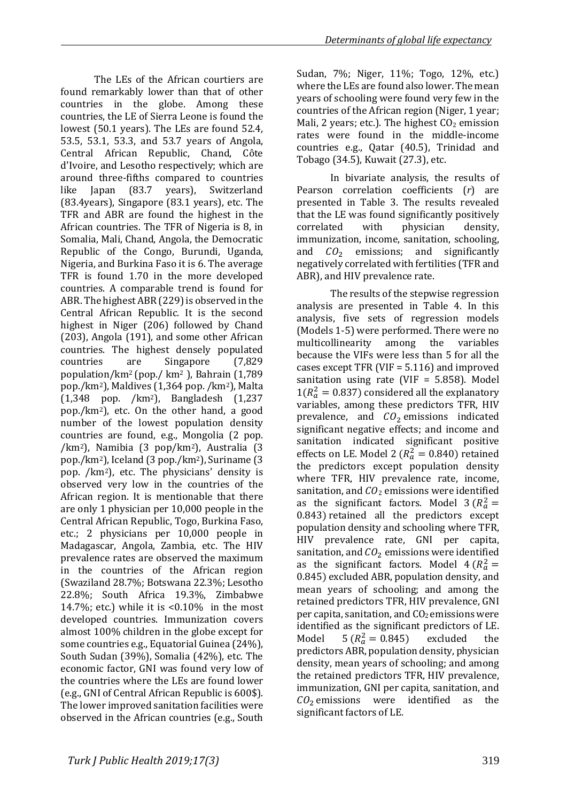The LEs of the African courtiers are found remarkably lower than that of other countries in the globe. Among these countries, the LE of Sierra Leone is found the lowest (50.1 years). The LEs are found 52.4, 53.5, 53.1, 53.3, and 53.7 years of Angola, Central African Republic, Chand, Côte d'Ivoire, and Lesotho respectively; which are around three-fifths compared to countries<br>like Japan (83.7 years), Switzerland years), Switzerland (83.4years), Singapore (83.1 years), etc. The TFR and ABR are found the highest in the African countries. The TFR of Nigeria is 8, in Somalia, Mali, Chand, Angola, the Democratic Republic of the Congo, Burundi, Uganda, Nigeria, and Burkina Faso it is 6. The average TFR is found 1.70 in the more developed countries. A comparable trend is found for ABR. The highest ABR (229) is observed in the Central African Republic. It is the second highest in Niger (206) followed by Chand (203), Angola (191), and some other African countries. The highest densely populated<br>countries are Singapore (7,829) Singapore population/km2 (pop./ km2 ), Bahrain (1,789 pop./km2), Maldives (1,364 pop. /km2), Malta (1,348 pop. /km2), Bangladesh (1,237 pop./km2), etc. On the other hand, a good number of the lowest population density countries are found, e.g., Mongolia (2 pop. /km2), Namibia (3 pop/km2), Australia (3 pop./km2), Iceland (3 pop./km2), Suriname (3 pop. /km2), etc. The physicians' density is observed very low in the countries of the African region. It is mentionable that there are only 1 physician per 10,000 people in the Central African Republic, Togo, Burkina Faso, etc.; 2 physicians per 10,000 people in Madagascar, Angola, Zambia, etc. The HIV prevalence rates are observed the maximum in the countries of the African region (Swaziland 28.7%; Botswana 22.3%; Lesotho 22.8%; South Africa 19.3%, Zimbabwe 14.7%; etc.) while it is <0.10% in the most developed countries. Immunization covers almost 100% children in the globe except for some countries e.g., Equatorial Guinea (24%), South Sudan (39%), Somalia (42%), etc. The economic factor, GNI was found very low of the countries where the LEs are found lower (e.g., GNI of Central African Republic is 600\$). The lower improved sanitation facilities were observed in the African countries (e.g., South

Sudan, 7%; Niger, 11%; Togo, 12%, etc.) where the LEs are found also lower. The mean years of schooling were found very few in the countries of the African region (Niger, 1 year; Mali, 2 years; etc.). The highest  $CO<sub>2</sub>$  emission rates were found in the middle-income countries e.g., Qatar (40.5), Trinidad and Tobago (34.5), Kuwait (27.3), etc.

In bivariate analysis, the results of Pearson correlation coefficients (*r*) are presented in Table 3. The results revealed that the LE was found significantly positively<br>correlated with physician density. correlated immunization, income, sanitation, schooling, and  $CO<sub>2</sub>$  emissions; and significantly negatively correlated with fertilities (TFR and ABR), and HIV prevalence rate.

The results of the stepwise regression analysis are presented in Table 4. In this analysis, five sets of regression models (Models 1-5) were performed. There were no<br>multicollinearity among the variables multicollinearity because the VIFs were less than 5 for all the cases except TFR (VIF = 5.116) and improved sanitation using rate (VIF =  $5.858$ ). Model  $1(R_a^2 = 0.837)$  considered all the explanatory variables, among these predictors TFR, HIV prevalence, and  $CO<sub>2</sub>$  emissions indicated significant negative effects; and income and sanitation indicated significant positive effects on LE. Model 2 ( $R_a^2 = 0.840$ ) retained the predictors except population density where TFR, HIV prevalence rate, income, sanitation, and  $CO<sub>2</sub>$  emissions were identified as the significant factors. Model  $3 (R_a^2 =$ 0.843) retained all the predictors except population density and schooling where TFR, HIV prevalence rate, GNI per capita, sanitation, and  $CO<sub>2</sub>$  emissions were identified as the significant factors. Model  $4 (R_a^2 =$ 0.845) excluded ABR, population density, and mean years of schooling; and among the retained predictors TFR, HIV prevalence, GNI per capita, sanitation, and  $CO<sub>2</sub>$  emissions were identified as the significant predictors of LE.<br>Model 5 ( $R_a^2 = 0.845$ ) excluded the Model  $5 (R_a^2 = 0.845)$ predictors ABR, population density, physician density, mean years of schooling; and among the retained predictors TFR, HIV prevalence, immunization, GNI per capita, sanitation, and  $CO<sub>2</sub>$  emissions were identified as the significant factors of LE.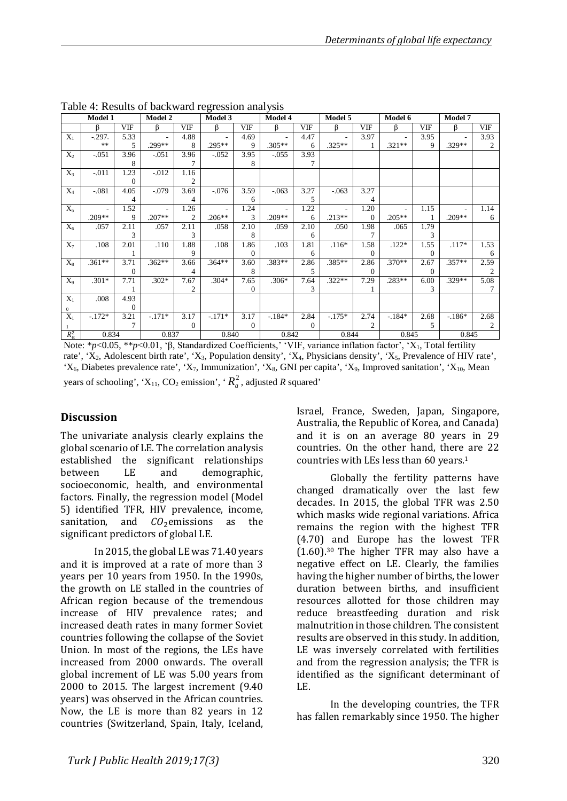|                  | Model 1  |               | Model 2        |                | Model 3        |          | Model 4                  |          | Model 5  |            | Model 6  |            | Model 7  |      |
|------------------|----------|---------------|----------------|----------------|----------------|----------|--------------------------|----------|----------|------------|----------|------------|----------|------|
|                  | ß        | <b>VIF</b>    | ß              | <b>VIF</b>     | ß              | VIF      | ß                        | VIF      | ß        | <b>VIF</b> | ß        | <b>VIF</b> | ß        | VIF  |
| $X_1$            | $-.297.$ | 5.33          | $\blacksquare$ | 4.88           | $\overline{a}$ | 4.69     | $\overline{\phantom{a}}$ | 4.47     |          | 3.97       |          | 3.95       |          | 3.93 |
|                  | **       | 5             | .299**         | 8              | .295**         | 9        | $.305**$                 | 6        | $.325**$ |            | $.321**$ | 9          | $.329**$ | 2    |
| $X_2$            | $-.051$  | 3.96          | $-.051$        | 3.96           | $-.052$        | 3.95     | $-0.055$                 | 3.93     |          |            |          |            |          |      |
|                  |          | 8             |                | 7              |                | 8        |                          | 7        |          |            |          |            |          |      |
| $X_3$            | $-.011$  | 1.23          | $-.012$        | 1.16           |                |          |                          |          |          |            |          |            |          |      |
|                  |          | $\Omega$      |                | 2              |                |          |                          |          |          |            |          |            |          |      |
| $X_4$            | $-.081$  | 4.05          | $-.079$        | 3.69           | $-.076$        | 3.59     | $-.063$                  | 3.27     | $-.063$  | 3.27       |          |            |          |      |
|                  |          | 4             |                | 4              |                | 6        |                          | 5        |          | 4          |          |            |          |      |
| $X_5$            |          | 1.52          | $\blacksquare$ | 1.26           | $\blacksquare$ | 1.24     | $\overline{\phantom{a}}$ | 1.22     |          | 1.20       |          | 1.15       |          | 1.14 |
|                  | $.209**$ | 9             | $.207**$       | $\overline{2}$ | $.206**$       | 3        | .209**                   | 6        | $.213**$ | $\Omega$   | $.205**$ |            | $.209**$ | 6    |
| $X_6$            | .057     | 2.11          | .057           | 2.11           | .058           | 2.10     | .059                     | 2.10     | .050     | 1.98       | .065     | 1.79       |          |      |
|                  |          | 3             |                | 3              |                | 8        |                          | 6        |          |            |          | 3          |          |      |
| $X_7$            | .108     | 2.01          | .110           | 1.88           | .108           | 1.86     | .103                     | 1.81     | $.116*$  | 1.58       | $.122*$  | 1.55       | $.117*$  | 1.53 |
|                  |          |               |                | 9              |                | $\Omega$ |                          | 6        |          | $\Omega$   |          | $\Omega$   |          | 6    |
| $X_8$            | $.361**$ | 3.71          | $.362**$       | 3.66           | $.364**$       | 3.60     | .383**                   | 2.86     | .385**   | 2.86       | .370**   | 2.67       | $.357**$ | 2.59 |
|                  |          | $\theta$      |                | 4              |                | 8        |                          | 5        |          | $\Omega$   |          | $\Omega$   |          | 2    |
| $X_9$            | $.301*$  | 7.71          | $.302*$        | 7.67           | $.304*$        | 7.65     | $.306*$                  | 7.64     | $.322**$ | 7.29       | $.283**$ | 6.00       | $.329**$ | 5.08 |
|                  |          |               |                | $\overline{2}$ |                | $\Omega$ |                          | 3        |          |            |          | 3          |          |      |
| $X_1$            | .008     | 4.93          |                |                |                |          |                          |          |          |            |          |            |          |      |
| $\mathbf{0}$     |          | $\theta$      |                |                |                |          |                          |          |          |            |          |            |          |      |
| $\overline{X_1}$ | $-.172*$ | 3.21          | $-.171*$       | 3.17           | $-.171*$       | 3.17     | $-184*$                  | 2.84     | $-.175*$ | 2.74       | $-184*$  | 2.68       | $-186*$  | 2.68 |
|                  |          | $\mathcal{I}$ |                | $\theta$       |                | $\Omega$ |                          | $\Omega$ |          | 2          |          | 5          |          | 2    |
| $R_a^2$          | 0.834    |               | 0.837          |                | 0.840          |          | 0.842                    |          | 0.844    |            | 0.845    |            | 0.845    |      |

Table 4: Results of backward regression analysis

Note: \**p*<0.05, \*\**p*<0.01, 'β, Standardized Coefficients,' 'VIF, variance inflation factor', 'X1, Total fertility rate', 'X<sub>2</sub>, Adolescent birth rate', 'X<sub>3</sub>, Population density', 'X<sub>4</sub>, Physicians density', 'X<sub>5</sub>, Prevalence of HIV rate', ' $X_6$ , Diabetes prevalence rate', ' $X_7$ , Immunization', ' $X_8$ , GNI per capita', ' $X_9$ , Improved sanitation', ' $X_{10}$ , Mean years of schooling', ' $X_{11}$ , CO<sub>2</sub> emission', ' $R_a^2$ , adjusted *R* squared'

#### **Discussion**

The univariate analysis clearly explains the global scenario of LE. The correlation analysis established the significant relationships<br>between LE and demographic. demographic, socioeconomic, health, and environmental factors. Finally, the regression model (Model 5) identified TFR, HIV prevalence, income, sanitation, and  $CO<sub>2</sub>$ emissions as the sanitation, and significant predictors of global LE.

In 2015, the global LE was 71.40 years and it is improved at a rate of more than 3 years per 10 years from 1950. In the 1990s, the growth on LE stalled in the countries of African region because of the tremendous increase of HIV prevalence rates; and increased death rates in many former Soviet countries following the collapse of the Soviet Union. In most of the regions, the LEs have increased from 2000 onwards. The overall global increment of LE was 5.00 years from 2000 to 2015. The largest increment (9.40 years) was observed in the African countries. Now, the LE is more than 82 years in 12 countries (Switzerland, Spain, Italy, Iceland, Israel, France, Sweden, Japan, Singapore, Australia, the Republic of Korea, and Canada) and it is on an average 80 years in 29 countries. On the other hand, there are 22 countries with LEs less than 60 years.1

Globally the fertility patterns have changed dramatically over the last few decades. In 2015, the global TFR was 2.50 which masks wide regional variations. Africa remains the region with the highest TFR (4.70) and Europe has the lowest TFR (1.60).30 The higher TFR may also have a negative effect on LE. Clearly, the families having the higher number of births, the lower duration between births, and insufficient resources allotted for those children may reduce breastfeeding duration and risk malnutrition in those children. The consistent results are observed in this study. In addition, LE was inversely correlated with fertilities and from the regression analysis; the TFR is identified as the significant determinant of LE.

In the developing countries, the TFR has fallen remarkably since 1950. The higher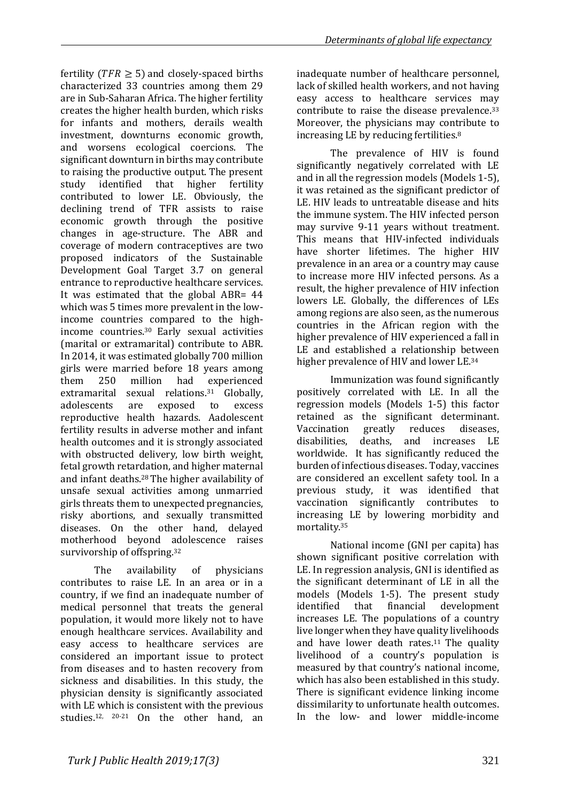fertility ( $TFR \geq 5$ ) and closely-spaced births characterized 33 countries among them 29 are in Sub-Saharan Africa. The higher fertility creates the higher health burden, which risks for infants and mothers, derails wealth investment, downturns economic growth, and worsens ecological coercions. The significant downturn in births may contribute to raising the productive output. The present study identified that higher fertility contributed to lower LE. Obviously, the declining trend of TFR assists to raise economic growth through the positive changes in age-structure. The ABR and coverage of modern contraceptives are two proposed indicators of the Sustainable Development Goal Target 3.7 on general entrance to reproductive healthcare services. It was estimated that the global ABR= 44 which was 5 times more prevalent in the lowincome countries compared to the highincome countries.30 Early sexual activities (marital or extramarital) contribute to ABR. In 2014, it was estimated globally 700 million girls were married before 18 years among<br>them 250 million had experienced experienced extramarital sexual relations.<sup>31</sup> Globally,<br>adolescents are exposed to excess adolescents are exposed to excess reproductive health hazards. Aadolescent fertility results in adverse mother and infant health outcomes and it is strongly associated with obstructed delivery, low birth weight, fetal growth retardation, and higher maternal and infant deaths.28 The higher availability of unsafe sexual activities among unmarried girls threats them to unexpected pregnancies, risky abortions, and sexually transmitted diseases. On the other hand, delayed motherhood beyond adolescence raises survivorship of offspring.32

The availability of physicians contributes to raise LE. In an area or in a country, if we find an inadequate number of medical personnel that treats the general population, it would more likely not to have enough healthcare services. Availability and easy access to healthcare services are considered an important issue to protect from diseases and to hasten recovery from sickness and disabilities. In this study, the physician density is significantly associated with LE which is consistent with the previous studies.12, 20-21 On the other hand, an

inadequate number of healthcare personnel, lack of skilled health workers, and not having easy access to healthcare services may contribute to raise the disease prevalence.33 Moreover, the physicians may contribute to increasing LE by reducing fertilities.8

The prevalence of HIV is found significantly negatively correlated with LE and in all the regression models (Models 1-5), it was retained as the significant predictor of LE. HIV leads to untreatable disease and hits the immune system. The HIV infected person may survive 9-11 years without treatment. This means that HIV-infected individuals have shorter lifetimes. The higher HIV prevalence in an area or a country may cause to increase more HIV infected persons. As a result, the higher prevalence of HIV infection lowers LE. Globally, the differences of LEs among regions are also seen, as the numerous countries in the African region with the higher prevalence of HIV experienced a fall in LE and established a relationship between higher prevalence of HIV and lower LE.34

Immunization was found significantly positively correlated with LE. In all the regression models (Models 1-5) this factor retained as the significant determinant.<br>Vaccination greatly reduces diseases. Vaccination<br>disabilities. deaths, and increases LE worldwide. It has significantly reduced the burden of infectious diseases. Today, vaccines are considered an excellent safety tool. In a previous study, it was identified that vaccination significantly contributes to increasing LE by lowering morbidity and mortality.35

National income (GNI per capita) has shown significant positive correlation with LE. In regression analysis, GNI is identified as the significant determinant of LE in all the models (Models 1-5). The present study<br>identified that financial development development increases LE. The populations of a country live longer when they have quality livelihoods and have lower death rates.<sup>11</sup> The quality livelihood of a country's population is measured by that country's national income, which has also been established in this study. There is significant evidence linking income dissimilarity to unfortunate health outcomes. In the low- and lower middle-income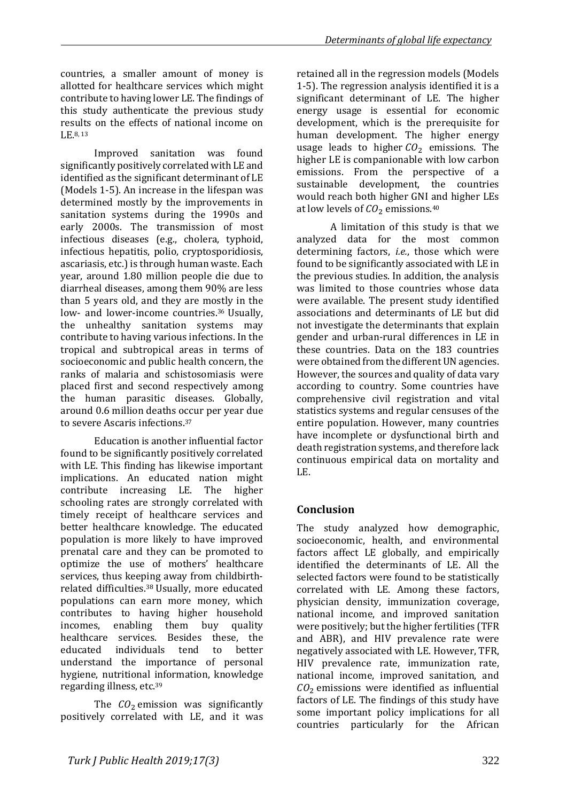countries, a smaller amount of money is allotted for healthcare services which might contribute to having lower LE. The findings of this study authenticate the previous study results on the effects of national income on  $\Gamma$ F 8, 13

Improved sanitation was found significantly positively correlated with LE and identified as the significant determinant of LE (Models 1-5). An increase in the lifespan was determined mostly by the improvements in sanitation systems during the 1990s and early 2000s. The transmission of most infectious diseases (e.g., cholera, typhoid, infectious hepatitis, polio, cryptosporidiosis, ascariasis, etc.) is through human waste. Each year, around 1.80 million people die due to diarrheal diseases, among them 90% are less than 5 years old, and they are mostly in the low- and lower-income countries.36 Usually, the unhealthy sanitation systems may contribute to having various infections. In the tropical and subtropical areas in terms of socioeconomic and public health concern, the ranks of malaria and schistosomiasis were placed first and second respectively among the human parasitic diseases. Globally, around 0.6 million deaths occur per year due to severe Ascaris infections.37

Education is another influential factor found to be significantly positively correlated with LE. This finding has likewise important implications. An educated nation might contribute increasing LE. The higher schooling rates are strongly correlated with timely receipt of healthcare services and better healthcare knowledge. The educated population is more likely to have improved prenatal care and they can be promoted to optimize the use of mothers' healthcare services, thus keeping away from childbirthrelated difficulties.38 Usually, more educated populations can earn more money, which contributes to having higher household<br>incomes, enabling them buy quality enabling them healthcare services. Besides these, the<br>educated individuals tend to better educated individuals understand the importance of personal hygiene, nutritional information, knowledge regarding illness, etc.39

The  $CO<sub>2</sub>$  emission was significantly positively correlated with LE, and it was retained all in the regression models (Models 1-5). The regression analysis identified it is a significant determinant of LE. The higher energy usage is essential for economic development, which is the prerequisite for human development. The higher energy usage leads to higher  $CO<sub>2</sub>$  emissions. The higher LE is companionable with low carbon emissions. From the perspective of a sustainable development, the countries would reach both higher GNI and higher LEs at low levels of  $CO<sub>2</sub>$  emissions.<sup>40</sup>

A limitation of this study is that we analyzed data for the most common determining factors, *i.e.*, those which were found to be significantly associated with LE in the previous studies. In addition, the analysis was limited to those countries whose data were available. The present study identified associations and determinants of LE but did not investigate the determinants that explain gender and urban-rural differences in LE in these countries. Data on the 183 countries were obtained from the different UN agencies. However, the sources and quality of data vary according to country. Some countries have comprehensive civil registration and vital statistics systems and regular censuses of the entire population. However, many countries have incomplete or dysfunctional birth and death registration systems, and therefore lack continuous empirical data on mortality and LE.

# **Conclusion**

The study analyzed how demographic, socioeconomic, health, and environmental factors affect LE globally, and empirically identified the determinants of LE. All the selected factors were found to be statistically correlated with LE. Among these factors, physician density, immunization coverage, national income, and improved sanitation were positively; but the higher fertilities (TFR and ABR), and HIV prevalence rate were negatively associated with LE. However, TFR, HIV prevalence rate, immunization rate, national income, improved sanitation, and  $CO<sub>2</sub>$  emissions were identified as influential factors of LE. The findings of this study have some important policy implications for all countries particularly for the African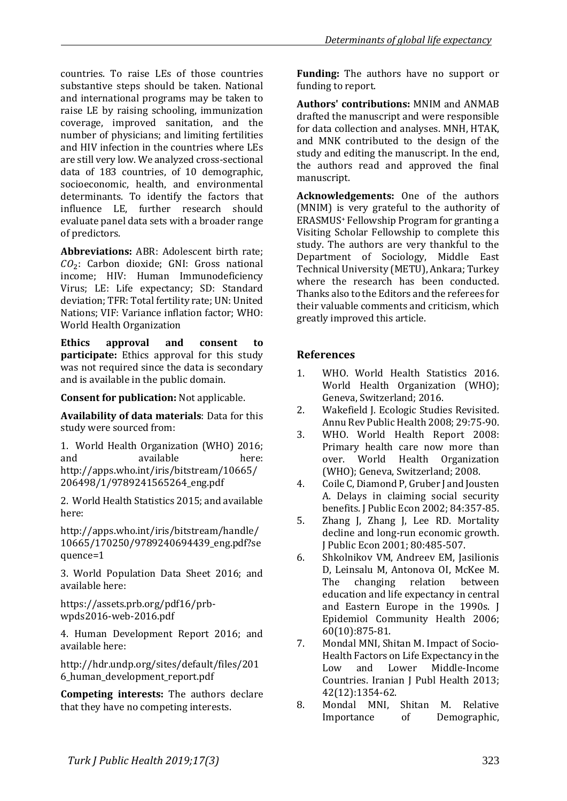countries. To raise LEs of those countries substantive steps should be taken. National and international programs may be taken to raise LE by raising schooling, immunization coverage, improved sanitation, and the number of physicians; and limiting fertilities and HIV infection in the countries where LEs are still very low. We analyzed cross-sectional data of 183 countries, of 10 demographic, socioeconomic, health, and environmental determinants. To identify the factors that influence LE, further research should evaluate panel data sets with a broader range of predictors.

**Abbreviations:** ABR: Adolescent birth rate;  $CO<sub>2</sub>$ : Carbon dioxide; GNI: Gross national income; HIV: Human Immunodeficiency Virus; LE: Life expectancy; SD: Standard deviation; TFR: Total fertility rate; UN: United Nations; VIF: Variance inflation factor; WHO: World Health Organization

**Ethics approval and consent to participate:** Ethics approval for this study was not required since the data is secondary and is available in the public domain.

**Consent for publication:** Not applicable.

**Availability of data materials**: Data for this study were sourced from:

1. World Health Organization (WHO) 2016;<br>and available here: available [http://apps.who.int/iris/bitstream/10665/](http://apps.who.int/iris/bitstream/10665/206498/1/9789241565264_eng.pdf) [206498/1/9789241565264\\_eng.pdf](http://apps.who.int/iris/bitstream/10665/206498/1/9789241565264_eng.pdf)

2. World Health Statistics 2015; and available here:

http://apps.who.int/iris/bitstream/handle/ 10665/170250/9789240694439\_eng.pdf?se quence=1

3. World Population Data Sheet 2016; and available here:

https://assets.prb.org/pdf16/prbwpds2016-web-2016.pdf

4. Human Development Report 2016; and available here:

http://hdr.undp.org/sites/default/files/201 6\_human\_development\_report.pdf

**Competing interests:** The authors declare that they have no competing interests.

**Funding:** The authors have no support or funding to report.

**Authors' contributions:** MNIM and ANMAB drafted the manuscript and were responsible for data collection and analyses. MNH, HTAK, and MNK contributed to the design of the study and editing the manuscript. In the end, the authors read and approved the final manuscript.

**Acknowledgements:** One of the authors (MNIM) is very grateful to the authority of ERASMUS<sup>+</sup> Fellowship Program for granting a Visiting Scholar Fellowship to complete this study. The authors are very thankful to the Department of Sociology, Middle East Technical University (METU), Ankara; Turkey where the research has been conducted. Thanks also to the Editors and the referees for their valuable comments and criticism, which greatly improved this article.

## **References**

- 1. WHO. World Health Statistics 2016. World Health Organization (WHO); Geneva, Switzerland; 2016.
- 2. Wakefield J. Ecologic Studies Revisited. Annu Rev Public Health 2008; 29:75-90.
- 3. WHO. World Health Report 2008: Primary health care now more than over. World Health Organization (WHO); Geneva, Switzerland; 2008.
- 4. Coile C, Diamond P, Gruber J and Jousten A. Delays in claiming social security benefits. J Public Econ 2002; 84:357-85.
- 5. Zhang J, Zhang J, Lee RD. Mortality decline and long-run economic growth. J Public Econ 2001; 80:485-507.
- 6. Shkolnikov VM, Andreev EM, Jasilionis D, Leinsalu M, Antonova OI, McKee M.<br>The changing relation between The changing relation between education and life expectancy in central and Eastern Europe in the 1990s. J Epidemiol Community Health 2006; 60(10):875-81.
- 7. Mondal MNI, Shitan M. Impact of Socio-Health Factors on Life Expectancy in the<br>Low and Lower Middle-Income Middle-Income Countries. Iranian J Publ Health 2013; 42(12):1354-62.
- 8. Mondal MNI, Shitan M. Relative<br>Importance of Demographic, Demographic,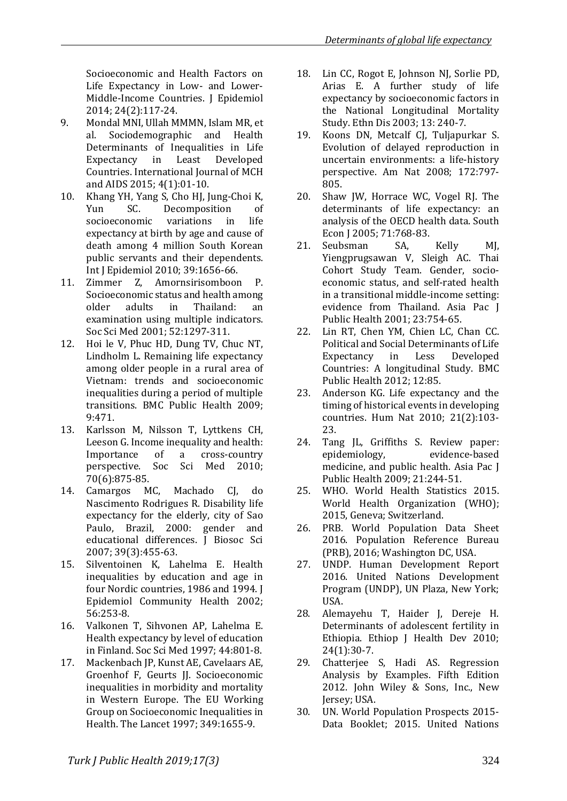Socioeconomic and Health Factors on Life Expectancy in Low- and Lower-Middle-Income Countries. [J Epidemiol](https://www.ncbi.nlm.nih.gov/pmc/articles/PMC3956691/) 2014; 24(2):117-24.

- 9. Mondal MNI, Ullah MMMN, Islam MR, et<br>al. Sociodemographic and Health Sociodemographic and Health Determinants of Inequalities in Life<br>Expectancy in Least Developed Least Developed Countries. International Journal of MCH and AIDS 2015; 4(1):01-10.
- 10. Khang YH, Yang S, Cho HJ, Jung-Choi K,<br>
Yun SC. Decomposition of Decomposition of<br>variations in life socioeconomic expectancy at birth by age and cause of death among 4 million South Korean public servants and their dependents. Int J Epidemiol 2010; 39:1656-66.
- 11. Zimmer Z, Amornsirisomboon P. Socioeconomic status and health among<br>older adults in Thailand: an Thailand: examination using multiple indicators. Soc Sci Med 2001; 52:1297-311.
- 12. Hoi le V, Phuc HD, Dung TV, Chuc NT, Lindholm L. Remaining life expectancy among older people in a rural area of Vietnam: trends and socioeconomic inequalities during a period of multiple transitions. BMC Public Health 2009; 9:471.
- 13. Karlsson M, Nilsson T, Lyttkens CH, Leeson G. Income inequality and health:<br>Importance of a cross-country cross-country perspective. Soc Sci Med 2010; 70(6):875-85.
- 14. Camargos MC, Machado CJ, do Nascimento Rodrigues R. Disability life expectancy for the elderly, city of Sao Paulo, Brazil, 2000: gender and educational differences. J Biosoc Sci 2007; 39(3):455-63.
- 15. Silventoinen K, Lahelma E. Health inequalities by education and age in four Nordic countries, 1986 and 1994. J Epidemiol Community Health 2002; 56:253-8.
- 16. Valkonen T, Sihvonen AP, Lahelma E. Health expectancy by level of education in Finland. Soc Sci Med 1997; 44:801-8.
- 17. Mackenbach JP, Kunst AE, Cavelaars AE, Groenhof F. Geurts II. Socioeconomic inequalities in morbidity and mortality in Western Europe. The EU Working Group on Socioeconomic Inequalities in Health. The Lancet 1997; 349:1655-9.
- 18. Lin CC, Rogot E, Johnson NJ, Sorlie PD, Arias E. A further study of life expectancy by socioeconomic factors in the National Longitudinal Mortality Study. Ethn Dis 2003; 13: 240-7.
- 19. Koons DN, Metcalf CJ, Tuljapurkar S. Evolution of delayed reproduction in uncertain environments: a life-history perspective. Am Nat 2008; 172:797- 805.
- 20. Shaw JW, Horrace WC, Vogel RJ. The determinants of life expectancy: an analysis of the OECD health data. South Econ J 2005; 71:768-83.<br>Seubsman SA.
- 21. Seubsman SA, Kelly MJ, Yiengprugsawan V, Sleigh AC. Thai Cohort Study Team. Gender, socioeconomic status, and self-rated health in a transitional middle-income setting: evidence from Thailand. Asia Pac J Public Health 2001; 23:754-65.
- 22. Lin RT, Chen YM, Chien LC, Chan CC. Political and Social Determinants of Life Expectancy in Less Developed Countries: A longitudinal Study. BMC Public Health 2012; 12:85.
- 23. Anderson KG. Life expectancy and the timing of historical events in developing countries. Hum Nat 2010; 21(2):103- 23.
- 24. Tang JL, Griffiths S. Review paper: epidemiology, medicine, and public health. Asia Pac J Public Health 2009; 21:244-51.
- 25. WHO. World Health Statistics 2015. World Health Organization (WHO); 2015, Geneva; Switzerland.
- 26. PRB. World Population Data Sheet 2016. Population Reference Bureau (PRB), 2016; Washington DC, USA.
- 27. UNDP. Human Development Report 2016. United Nations Development Program (UNDP), UN Plaza, New York; USA.
- 28. Alemayehu T, Haider J, Dereje H. Determinants of adolescent fertility in Ethiopia. Ethiop J Health Dev 2010; 24(1):30-7.
- 29. Chatterjee S, Hadi AS. Regression Analysis by Examples. Fifth Edition 2012. John Wiley & Sons, Inc., New Jersey; USA.
- 30. UN. World Population Prospects 2015- Data Booklet; 2015. United Nations